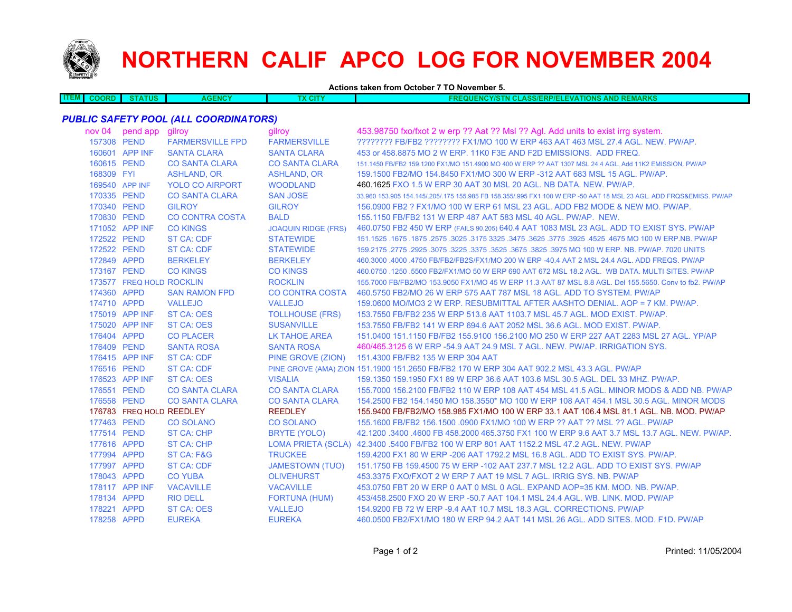

## **NORTHERN CALIF APCO LOG FOR NOVEMBER 2004**

**Actions taken from October 7 TO November 5.**

| <b>ITEMA</b> | <b>COORD</b> | <b>ATUS</b> | <b>GENCY</b> | CIT) | <b>TIONS AND REMARKS</b><br><b>QUENCY/STN CLASS/ERP/EL</b><br>LEVAT |
|--------------|--------------|-------------|--------------|------|---------------------------------------------------------------------|
|              |              |             |              |      |                                                                     |

## *PUBLIC SAFETY POOL (ALL COORDINATORS)*

| nov 04      | pend app gilroy          |                         | gilroy                     | 453.98750 fxo/fxot 2 w erp ?? Aat ?? Msl ?? Agl. Add units to exist irrg system.                                    |
|-------------|--------------------------|-------------------------|----------------------------|---------------------------------------------------------------------------------------------------------------------|
| 157308 PEND |                          | <b>FARMERSVILLE FPD</b> | <b>FARMERSVILLE</b>        | ???????? FB/FB2 ???????? FX1/MO 100 W ERP 463 AAT 463 MSL 27.4 AGL. NEW. PW/AP.                                     |
|             | 160601 APP INF           | <b>SANTA CLARA</b>      | <b>SANTA CLARA</b>         | 453 or 458.8875 MO 2 W ERP. 11K0 F3E AND F2D EMISSIONS. ADD FREQ.                                                   |
| 160615 PEND |                          | <b>CO SANTA CLARA</b>   | <b>CO SANTA CLARA</b>      | 151.1450 FB/FB2 159.1200 FX1/MO 151.4900 MO 400 W ERP ?? AAT 1307 MSL 24.4 AGL. Add 11K2 EMISSION. PW/AP            |
| 168309 FYI  |                          | <b>ASHLAND, OR</b>      | <b>ASHLAND, OR</b>         | 159.1500 FB2/MO 154.8450 FX1/MO 300 W ERP -312 AAT 683 MSL 15 AGL, PW/AP.                                           |
|             | 169540 APP INF           | <b>YOLO CO AIRPORT</b>  | <b>WOODLAND</b>            | 460.1625 FXO 1.5 W ERP 30 AAT 30 MSL 20 AGL, NB DATA, NEW, PW/AP.                                                   |
| 170335 PEND |                          | <b>CO SANTA CLARA</b>   | <b>SAN JOSE</b>            | 33,960 153,905 154,145/.205/.175 155,985 FB 158,355/.995 FX1 100 W ERP -50 AAT 18 MSL 23 AGL, ADD FRQS&EMISS, PW/AP |
| 170340 PEND |                          | <b>GILROY</b>           | <b>GILROY</b>              | 156.0900 FB2 ? FX1/MO 100 W ERP 61 MSL 23 AGL. ADD FB2 MODE & NEW MO. PW/AP.                                        |
| 170830 PEND |                          | <b>CO CONTRA COSTA</b>  | <b>BALD</b>                | 155,1150 FB/FB2 131 W ERP 487 AAT 583 MSL 40 AGL, PW/AP, NEW.                                                       |
|             | 171052 APP INF           | <b>CO KINGS</b>         | <b>JOAQUIN RIDGE (FRS)</b> | 460.0750 FB2 450 W ERP (FAILS 90.205) 640.4 AAT 1083 MSL 23 AGL. ADD TO EXIST SYS. PW/AP                            |
| 172522 PEND |                          | <b>ST CA: CDF</b>       | <b>STATEWIDE</b>           | 151.1525 .1675 .1875 .2575 .3025 .3175 3325 .3475 .3625 .3775 .3925 .3775 .3925 .1675 .1675 .1877 .1879 .2577       |
| 172522 PEND |                          | <b>ST CA: CDF</b>       | <b>STATEWIDE</b>           | 159.2175 .2775 .2925 .3075 .3225 .3675 .3625 .3675 .3825 .3975 MO 100 W ERP. NB. PW/AP. 7020 UNITS                  |
| 172849 APPD |                          | <b>BERKELEY</b>         | <b>BERKELEY</b>            | 460.3000 .4000 .4750 FB/FB2/FB2S/FX1/MO 200 W ERP -40.4 AAT 2 MSL 24.4 AGL. ADD FREQS. PW/AP                        |
| 173167 PEND |                          | <b>CO KINGS</b>         | <b>CO KINGS</b>            | 460.0750 .1250 .5500 FB2/FX1/MO 50 W ERP 690 AAT 672 MSL 18.2 AGL. WB DATA, MULTI SITES, PW/AP                      |
|             | 173577 FREQ HOLD ROCKLIN |                         | <b>ROCKLIN</b>             | 155,7000 FB/FB2/MO 153,9050 FX1/MO 45 W ERP 11.3 AAT 87 MSL 8.8 AGL, Del 155,5650, Conv to fb2, PW/AP               |
| 174360 APPD |                          | <b>SAN RAMON FPD</b>    | <b>CO CONTRA COSTA</b>     | 460.5750 FB2/MO 26 W ERP 575 AAT 787 MSL 18 AGL. ADD TO SYSTEM. PW/AP                                               |
| 174710 APPD |                          | <b>VALLEJO</b>          | <b>VALLEJO</b>             | 159.0600 MO/MO3 2 W ERP. RESUBMITTAL AFTER AASHTO DENIAL. AOP = 7 KM. PW/AP.                                        |
|             | 175019 APP INF           | <b>ST CA: OES</b>       | <b>TOLLHOUSE (FRS)</b>     | 153.7550 FB/FB2 235 W ERP 513.6 AAT 1103.7 MSL 45.7 AGL, MOD EXIST, PW/AP.                                          |
|             | 175020 APP INF           | ST CA: OES              | <b>SUSANVILLE</b>          | 153.7550 FB/FB2 141 W ERP 694.6 AAT 2052 MSL 36.6 AGL, MOD EXIST, PW/AP.                                            |
| 176404 APPD |                          | <b>CO PLACER</b>        | LK TAHOE AREA              | 151,0400 151,1150 FB/FB2 155,9100 156,2100 MO 250 W ERP 227 AAT 2283 MSL 27 AGL, YP/AP                              |
| 176409 PEND |                          | <b>SANTA ROSA</b>       | <b>SANTA ROSA</b>          | 460/465.3125 6 W ERP -54.9 AAT 24.9 MSL 7 AGL. NEW. PW/AP. IRRIGATION SYS.                                          |
|             | 176415 APP INF           | <b>ST CA: CDF</b>       | PINE GROVE (ZION)          | 151.4300 FB/FB2 135 W ERP 304 AAT                                                                                   |
| 176516 PEND |                          | ST CA: CDF              |                            | PINE GROVE (AMA) ZION 151.1900 151.2650 FB/FB2 170 W ERP 304 AAT 902.2 MSL 43.3 AGL. PW/AP                          |
|             | 176523 APP INF           | ST CA: OES              | <b>VISALIA</b>             | 159.1350 159.1950 FX1 89 W ERP 36.6 AAT 103.6 MSL 30.5 AGL, DEL 33 MHZ, PW/AP,                                      |
| 176551 PEND |                          | <b>CO SANTA CLARA</b>   | <b>CO SANTA CLARA</b>      | 155,7000 156,2100 FB/FB2 110 W ERP 108 AAT 454 MSL 41.5 AGL, MINOR MODS & ADD NB, PW/AP                             |
| 176558 PEND |                          | <b>CO SANTA CLARA</b>   | <b>CO SANTA CLARA</b>      | 154,2500 FB2 154,1450 MO 158,3550* MO 100 W ERP 108 AAT 454,1 MSL 30.5 AGL. MINOR MODS                              |
|             | 176783 FREQ HOLD REEDLEY |                         | <b>REEDLEY</b>             | 155.9400 FB/FB2/MO 158.985 FX1/MO 100 W ERP 33.1 AAT 106.4 MSL 81.1 AGL, NB, MOD, PW/AP                             |
| 177463 PEND |                          | <b>CO SOLANO</b>        | CO SOLANO                  | 155.1600 FB/FB2 156.1500 .0900 FX1/MO 100 W ERP ?? AAT ?? MSL ?? AGL. PW/AP                                         |
| 177514 PEND |                          | <b>ST CA: CHP</b>       | BRYTE (YOLO)               | 42.1200 .3400 .4600 FB 458.2000 465.3750 FX1 100 W ERP 9.6 AAT 3.7 MSL 13.7 AGL. NEW. PW/AP.                        |
| 177616 APPD |                          | <b>ST CA: CHP</b>       |                            | LOMA PRIETA (SCLA) 42.3400 .5400 FB/FB2 100 W ERP 801 AAT 1152.2 MSL 47.2 AGL. NEW. PW/AP                           |
| 177994 APPD |                          | ST CA: F&G              | <b>TRUCKEE</b>             | 159,4200 FX1 80 W ERP -206 AAT 1792.2 MSL 16.8 AGL, ADD TO EXIST SYS, PW/AP.                                        |
| 177997 APPD |                          | <b>ST CA: CDF</b>       | <b>JAMESTOWN (TUO)</b>     | 151.1750 FB 159.4500 75 W ERP -102 AAT 237.7 MSL 12.2 AGL, ADD TO EXIST SYS, PW/AP                                  |
| 178043 APPD |                          | <b>CO YUBA</b>          | <b>OLIVEHURST</b>          | 453.3375 FXO/FXOT 2 W ERP 7 AAT 19 MSL 7 AGL. IRRIG SYS. NB. PW/AP                                                  |
|             | 178117 APP INF           | <b>VACAVILLE</b>        | <b>VACAVILLE</b>           | 453.0750 FBT 20 W ERP 0 AAT 0 MSL 0 AGL. EXPAND AOP=35 KM. MOD. NB. PW/AP.                                          |
| 178134 APPD |                          | <b>RIO DELL</b>         | <b>FORTUNA (HUM)</b>       | 453/458.2500 FXO 20 W ERP -50.7 AAT 104.1 MSL 24.4 AGL, WB, LINK, MOD, PW/AP                                        |
| 178221 APPD |                          | <b>ST CA: OES</b>       | <b>VALLEJO</b>             | 154,9200 FB 72 W ERP -9.4 AAT 10.7 MSL 18.3 AGL, CORRECTIONS, PW/AP                                                 |
| 178258 APPD |                          | <b>EUREKA</b>           | <b>EUREKA</b>              | 460,0500 FB2/FX1/MO 180 W ERP 94.2 AAT 141 MSL 26 AGL, ADD SITES, MOD, F1D, PW/AP                                   |